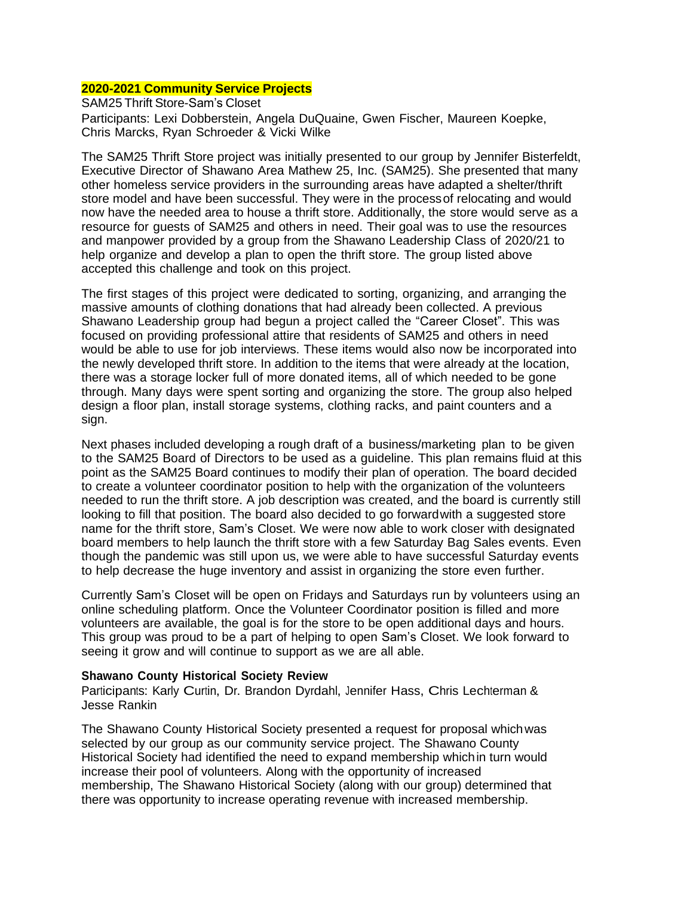#### **2020-2021 Community Service Projects**

SAM25 Thrift Store-Sam's Closet Participants: Lexi Dobberstein, Angela DuQuaine, Gwen Fischer, Maureen Koepke, Chris Marcks, Ryan Schroeder & Vicki Wilke

The SAM25 Thrift Store project was initially presented to our group by Jennifer Bisterfeldt, Executive Director of Shawano Area Mathew 25, Inc. (SAM25). She presented that many other homeless service providers in the surrounding areas have adapted a shelter/thrift store model and have been successful. They were in the processof relocating and would now have the needed area to house a thrift store. Additionally, the store would serve as a resource for guests of SAM25 and others in need. Their goal was to use the resources and manpower provided by a group from the Shawano Leadership Class of 2020/21 to help organize and develop a plan to open the thrift store. The group listed above accepted this challenge and took on this project.

The first stages of this project were dedicated to sorting, organizing, and arranging the massive amounts of clothing donations that had already been collected. A previous Shawano Leadership group had begun a project called the "Career Closet". This was focused on providing professional attire that residents of SAM25 and others in need would be able to use for job interviews. These items would also now be incorporated into the newly developed thrift store. In addition to the items that were already at the location, there was a storage locker full of more donated items, all of which needed to be gone through. Many days were spent sorting and organizing the store. The group also helped design a floor plan, install storage systems, clothing racks, and paint counters and a sign.

Next phases included developing a rough draft of a business/marketing plan to be given to the SAM25 Board of Directors to be used as a guideline. This plan remains fluid at this point as the SAM25 Board continues to modify their plan of operation. The board decided to create a volunteer coordinator position to help with the organization of the volunteers needed to run the thrift store. A job description was created, and the board is currently still looking to fill that position. The board also decided to go forwardwith a suggested store name for the thrift store, Sam's Closet. We were now able to work closer with designated board members to help launch the thrift store with a few Saturday Bag Sales events. Even though the pandemic was still upon us, we were able to have successful Saturday events to help decrease the huge inventory and assist in organizing the store even further.

Currently Sam's Closet will be open on Fridays and Saturdays run by volunteers using an online scheduling platform. Once the Volunteer Coordinator position is filled and more volunteers are available, the goal is for the store to be open additional days and hours. This group was proud to be a part of helping to open Sam's Closet. We look forward to seeing it grow and will continue to support as we are all able.

#### **Shawano County Historical Society Review**

Participants: Karly Curtin, Dr. Brandon Dyrdahl, Jennifer Hass, Chris Lechterman & Jesse Rankin

The Shawano County Historical Society presented a request for proposal whichwas selected by our group as our community service project. The Shawano County Historical Society had identified the need to expand membership whichin turn would increase their pool of volunteers. Along with the opportunity of increased membership, The Shawano Historical Society (along with our group) determined that there was opportunity to increase operating revenue with increased membership.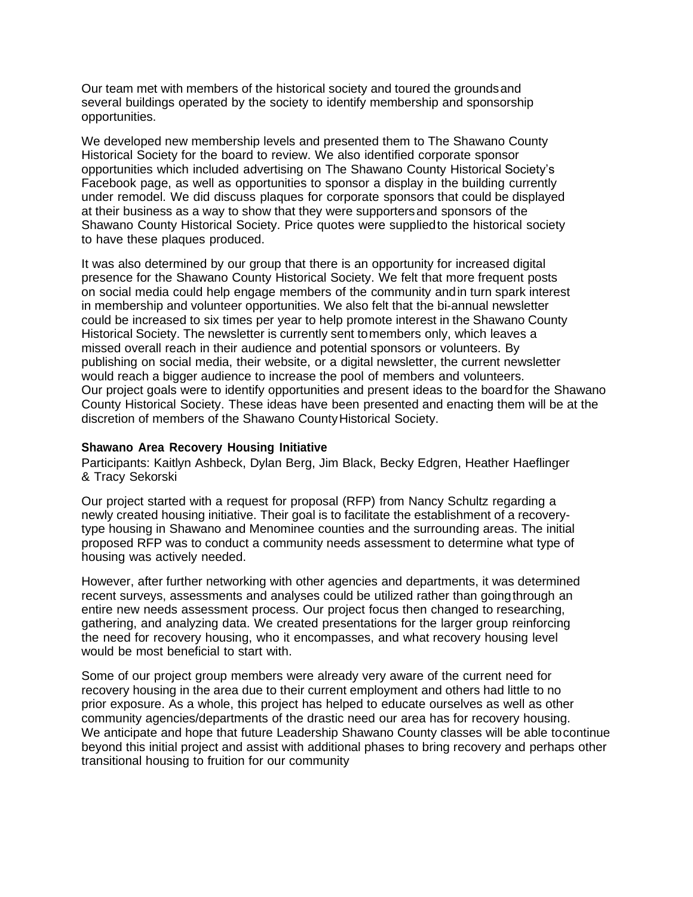Our team met with members of the historical society and toured the groundsand several buildings operated by the society to identify membership and sponsorship opportunities.

We developed new membership levels and presented them to The Shawano County Historical Society for the board to review. We also identified corporate sponsor opportunities which included advertising on The Shawano County Historical Society's Facebook page, as well as opportunities to sponsor a display in the building currently under remodel. We did discuss plaques for corporate sponsors that could be displayed at their business as a way to show that they were supportersand sponsors of the Shawano County Historical Society. Price quotes were suppliedto the historical society to have these plaques produced.

It was also determined by our group that there is an opportunity for increased digital presence for the Shawano County Historical Society. We felt that more frequent posts on social media could help engage members of the community andin turn spark interest in membership and volunteer opportunities. We also felt that the bi-annual newsletter could be increased to six times per year to help promote interest in the Shawano County Historical Society. The newsletter is currently sent tomembers only, which leaves a missed overall reach in their audience and potential sponsors or volunteers. By publishing on social media, their website, or a digital newsletter, the current newsletter would reach a bigger audience to increase the pool of members and volunteers. Our project goals were to identify opportunities and present ideas to the boardfor the Shawano County Historical Society. These ideas have been presented and enacting them will be at the discretion of members of the Shawano County Historical Society.

#### **Shawano Area Recovery Housing Initiative**

Participants: Kaitlyn Ashbeck, Dylan Berg, Jim Black, Becky Edgren, Heather Haeflinger & Tracy Sekorski

Our project started with a request for proposal (RFP) from Nancy Schultz regarding a newly created housing initiative. Their goal is to facilitate the establishment of a recoverytype housing in Shawano and Menominee counties and the surrounding areas. The initial proposed RFP was to conduct a community needs assessment to determine what type of housing was actively needed.

However, after further networking with other agencies and departments, it was determined recent surveys, assessments and analyses could be utilized rather than goingthrough an entire new needs assessment process. Our project focus then changed to researching, gathering, and analyzing data. We created presentations for the larger group reinforcing the need for recovery housing, who it encompasses, and what recovery housing level would be most beneficial to start with.

Some of our project group members were already very aware of the current need for recovery housing in the area due to their current employment and others had little to no prior exposure. As a whole, this project has helped to educate ourselves as well as other community agencies/departments of the drastic need our area has for recovery housing. We anticipate and hope that future Leadership Shawano County classes will be able tocontinue beyond this initial project and assist with additional phases to bring recovery and perhaps other transitional housing to fruition for our community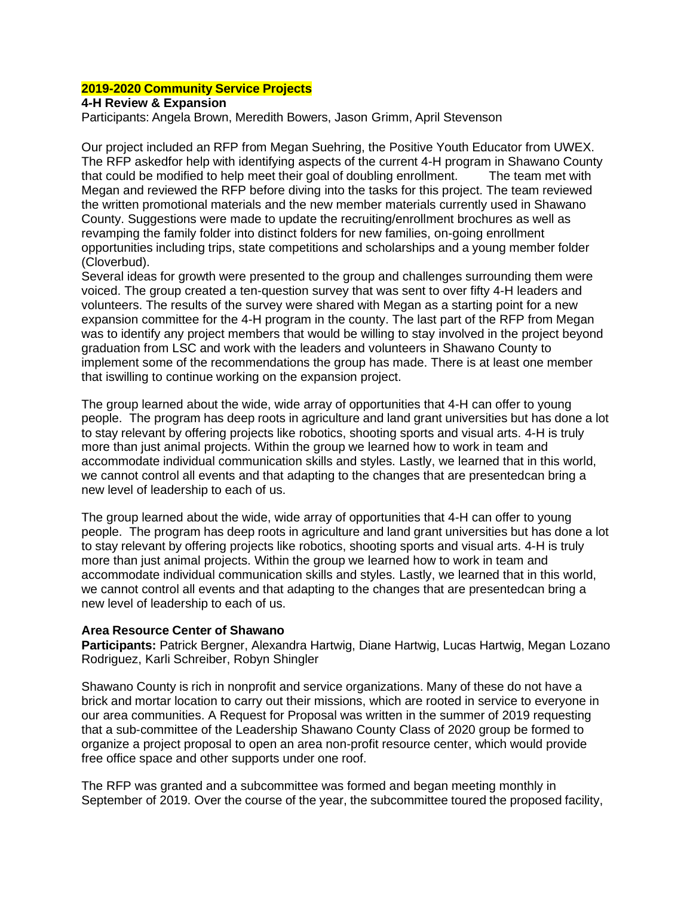# **2019-2020 Community Service Projects**

## **4-H Review & Expansion**

Participants: Angela Brown, Meredith Bowers, Jason Grimm, April Stevenson

Our project included an RFP from Megan Suehring, the Positive Youth Educator from UWEX. The RFP askedfor help with identifying aspects of the current 4-H program in Shawano County that could be modified to help meet their goal of doubling enrollment. The team met with Megan and reviewed the RFP before diving into the tasks for this project. The team reviewed the written promotional materials and the new member materials currently used in Shawano County. Suggestions were made to update the recruiting/enrollment brochures as well as revamping the family folder into distinct folders for new families, on-going enrollment opportunities including trips, state competitions and scholarships and a young member folder (Cloverbud).

Several ideas for growth were presented to the group and challenges surrounding them were voiced. The group created a ten-question survey that was sent to over fifty 4-H leaders and volunteers. The results of the survey were shared with Megan as a starting point for a new expansion committee for the 4-H program in the county. The last part of the RFP from Megan was to identify any project members that would be willing to stay involved in the project beyond graduation from LSC and work with the leaders and volunteers in Shawano County to implement some of the recommendations the group has made. There is at least one member that iswilling to continue working on the expansion project.

The group learned about the wide, wide array of opportunities that 4-H can offer to young people. The program has deep roots in agriculture and land grant universities but has done a lot to stay relevant by offering projects like robotics, shooting sports and visual arts. 4-H is truly more than just animal projects. Within the group we learned how to work in team and accommodate individual communication skills and styles. Lastly, we learned that in this world, we cannot control all events and that adapting to the changes that are presentedcan bring a new level of leadership to each of us.

The group learned about the wide, wide array of opportunities that 4-H can offer to young people. The program has deep roots in agriculture and land grant universities but has done a lot to stay relevant by offering projects like robotics, shooting sports and visual arts. 4-H is truly more than just animal projects. Within the group we learned how to work in team and accommodate individual communication skills and styles. Lastly, we learned that in this world, we cannot control all events and that adapting to the changes that are presentedcan bring a new level of leadership to each of us.

#### **Area Resource Center of Shawano**

**Participants:** Patrick Bergner, Alexandra Hartwig, Diane Hartwig, Lucas Hartwig, Megan Lozano Rodriguez, Karli Schreiber, Robyn Shingler

Shawano County is rich in nonprofit and service organizations. Many of these do not have a brick and mortar location to carry out their missions, which are rooted in service to everyone in our area communities. A Request for Proposal was written in the summer of 2019 requesting that a sub-committee of the Leadership Shawano County Class of 2020 group be formed to organize a project proposal to open an area non-profit resource center, which would provide free office space and other supports under one roof.

The RFP was granted and a subcommittee was formed and began meeting monthly in September of 2019. Over the course of the year, the subcommittee toured the proposed facility,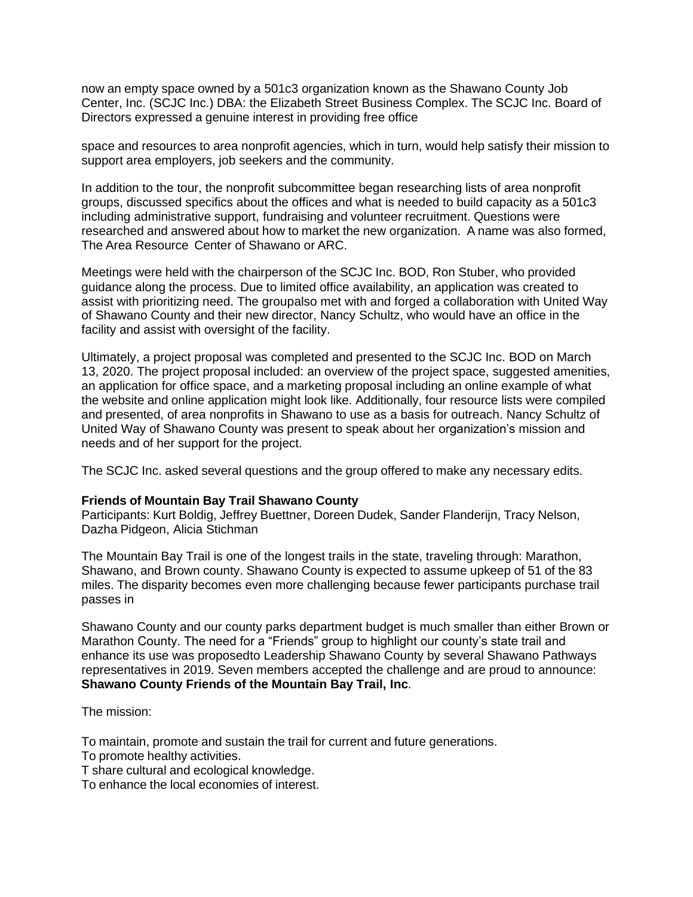now an empty space owned by a 501c3 organization known as the Shawano County Job Center, Inc. (SCJC Inc.) DBA: the Elizabeth Street Business Complex. The SCJC Inc. Board of Directors expressed a genuine interest in providing free office

space and resources to area nonprofit agencies, which in turn, would help satisfy their mission to support area employers, job seekers and the community.

In addition to the tour, the nonprofit subcommittee began researching lists of area nonprofit groups, discussed specifics about the offices and what is needed to build capacity as a 501c3 including administrative support, fundraising and volunteer recruitment. Questions were researched and answered about how to market the new organization. A name was also formed, The Area Resource Center of Shawano or ARC.

Meetings were held with the chairperson of the SCJC Inc. BOD, Ron Stuber, who provided guidance along the process. Due to limited office availability, an application was created to assist with prioritizing need. The groupalso met with and forged a collaboration with United Way of Shawano County and their new director, Nancy Schultz, who would have an office in the facility and assist with oversight of the facility.

Ultimately, a project proposal was completed and presented to the SCJC Inc. BOD on March 13, 2020. The project proposal included: an overview of the project space, suggested amenities, an application for office space, and a marketing proposal including an online example of what the website and online application might look like. Additionally, four resource lists were compiled and presented, of area nonprofits in Shawano to use as a basis for outreach. Nancy Schultz of United Way of Shawano County was present to speak about her organization's mission and needs and of her support for the project.

The SCJC Inc. asked several questions and the group offered to make any necessary edits.

## **Friends of Mountain Bay Trail Shawano County**

Participants: Kurt Boldig, Jeffrey Buettner, Doreen Dudek, Sander Flanderijn, Tracy Nelson, Dazha Pidgeon, Alicia Stichman

The Mountain Bay Trail is one of the longest trails in the state, traveling through: Marathon, Shawano, and Brown county. Shawano County is expected to assume upkeep of 51 of the 83 miles. The disparity becomes even more challenging because fewer participants purchase trail passes in

Shawano County and our county parks department budget is much smaller than either Brown or Marathon County. The need for a "Friends" group to highlight our county's state trail and enhance its use was proposedto Leadership Shawano County by several Shawano Pathways representatives in 2019. Seven members accepted the challenge and are proud to announce: **Shawano County Friends of the Mountain Bay Trail, Inc**.

The mission:

To maintain, promote and sustain the trail for current and future generations.

To promote healthy activities.

T share cultural and ecological knowledge.

To enhance the local economies of interest.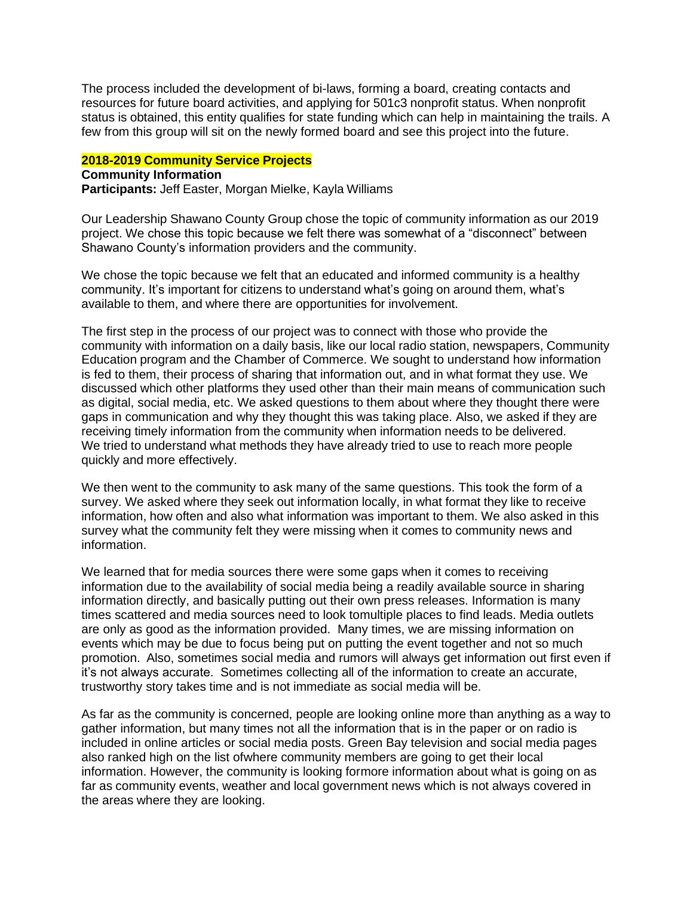The process included the development of bi-laws, forming a board, creating contacts and resources for future board activities, and applying for 501c3 nonprofit status. When nonprofit status is obtained, this entity qualifies for state funding which can help in maintaining the trails. A few from this group will sit on the newly formed board and see this project into the future.

## **2018-2019 Community Service Projects**

#### **Community Information**

**Participants:** Jeff Easter, Morgan Mielke, Kayla Williams

Our Leadership Shawano County Group chose the topic of community information as our 2019 project. We chose this topic because we felt there was somewhat of a "disconnect" between Shawano County's information providers and the community.

We chose the topic because we felt that an educated and informed community is a healthy community. It's important for citizens to understand what's going on around them, what's available to them, and where there are opportunities for involvement.

The first step in the process of our project was to connect with those who provide the community with information on a daily basis, like our local radio station, newspapers, Community Education program and the Chamber of Commerce. We sought to understand how information is fed to them, their process of sharing that information out, and in what format they use. We discussed which other platforms they used other than their main means of communication such as digital, social media, etc. We asked questions to them about where they thought there were gaps in communication and why they thought this was taking place. Also, we asked if they are receiving timely information from the community when information needs to be delivered. We tried to understand what methods they have already tried to use to reach more people quickly and more effectively.

We then went to the community to ask many of the same questions. This took the form of a survey. We asked where they seek out information locally, in what format they like to receive information, how often and also what information was important to them. We also asked in this survey what the community felt they were missing when it comes to community news and information.

We learned that for media sources there were some gaps when it comes to receiving information due to the availability of social media being a readily available source in sharing information directly, and basically putting out their own press releases. Information is many times scattered and media sources need to look tomultiple places to find leads. Media outlets are only as good as the information provided. Many times, we are missing information on events which may be due to focus being put on putting the event together and not so much promotion. Also, sometimes social media and rumors will always get information out first even if it's not always accurate. Sometimes collecting all of the information to create an accurate, trustworthy story takes time and is not immediate as social media will be.

As far as the community is concerned, people are looking online more than anything as a way to gather information, but many times not all the information that is in the paper or on radio is included in online articles or social media posts. Green Bay television and social media pages also ranked high on the list ofwhere community members are going to get their local information. However, the community is looking formore information about what is going on as far as community events, weather and local government news which is not always covered in the areas where they are looking.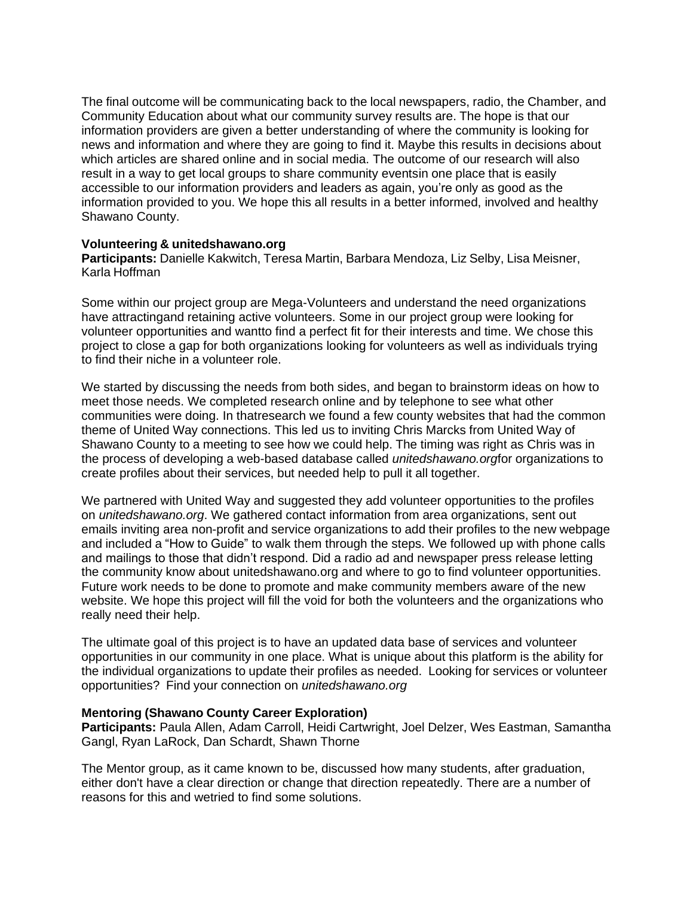The final outcome will be communicating back to the local newspapers, radio, the Chamber, and Community Education about what our community survey results are. The hope is that our information providers are given a better understanding of where the community is looking for news and information and where they are going to find it. Maybe this results in decisions about which articles are shared online and in social media. The outcome of our research will also result in a way to get local groups to share community eventsin one place that is easily accessible to our information providers and leaders as again, you're only as good as the information provided to you. We hope this all results in a better informed, involved and healthy Shawano County.

#### **Volunteering & unitedshawano.org**

**Participants:** Danielle Kakwitch, Teresa Martin, Barbara Mendoza, Liz Selby, Lisa Meisner, Karla Hoffman

Some within our project group are Mega-Volunteers and understand the need organizations have attractingand retaining active volunteers. Some in our project group were looking for volunteer opportunities and wantto find a perfect fit for their interests and time. We chose this project to close a gap for both organizations looking for volunteers as well as individuals trying to find their niche in a volunteer role.

We started by discussing the needs from both sides, and began to brainstorm ideas on how to meet those needs. We completed research online and by telephone to see what other communities were doing. In thatresearch we found a few county websites that had the common theme of United Way connections. This led us to inviting Chris Marcks from United Way of Shawano County to a meeting to see how we could help. The timing was right as Chris was in the process of developing a web-based database called *unitedshawano.org*for organizations to create profiles about their services, but needed help to pull it all together.

We partnered with United Way and suggested they add volunteer opportunities to the profiles on *unitedshawano.org*. We gathered contact information from area organizations, sent out emails inviting area non-profit and service organizations to add their profiles to the new webpage and included a "How to Guide" to walk them through the steps. We followed up with phone calls and mailings to those that didn't respond. Did a radio ad and newspaper press release letting the community know about unitedshawano.org and where to go to find volunteer opportunities. Future work needs to be done to promote and make community members aware of the new website. We hope this project will fill the void for both the volunteers and the organizations who really need their help.

The ultimate goal of this project is to have an updated data base of services and volunteer opportunities in our community in one place. What is unique about this platform is the ability for the individual organizations to update their profiles as needed. Looking for services or volunteer opportunities? Find your connection on *unitedshawano.org*

## **Mentoring (Shawano County Career Exploration)**

**Participants:** Paula Allen, Adam Carroll, Heidi Cartwright, Joel Delzer, Wes Eastman, Samantha Gangl, Ryan LaRock, Dan Schardt, Shawn Thorne

The Mentor group, as it came known to be, discussed how many students, after graduation, either don't have a clear direction or change that direction repeatedly. There are a number of reasons for this and wetried to find some solutions.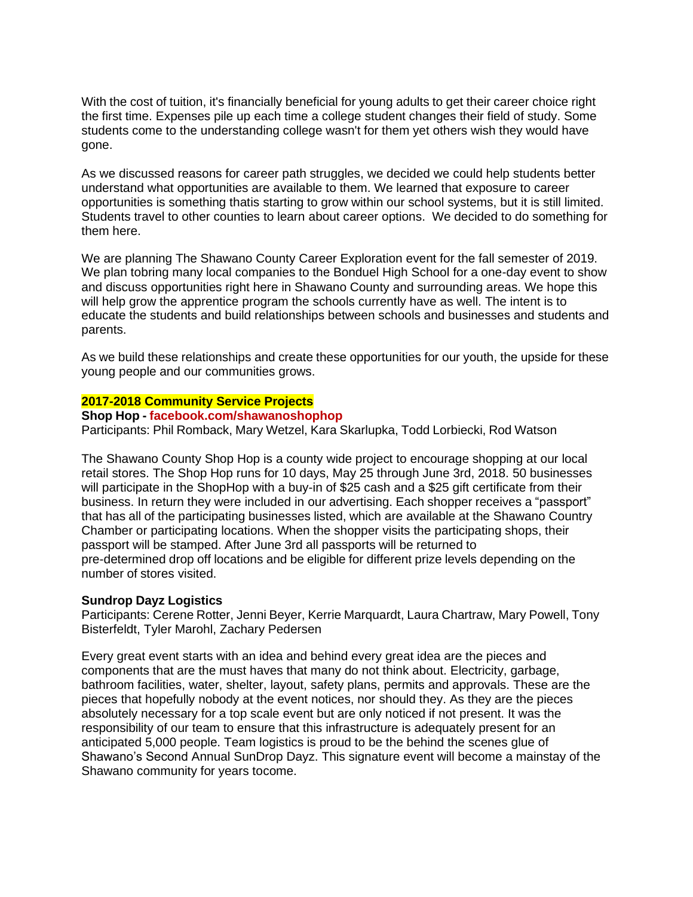With the cost of tuition, it's financially beneficial for young adults to get their career choice right the first time. Expenses pile up each time a college student changes their field of study. Some students come to the understanding college wasn't for them yet others wish they would have gone.

As we discussed reasons for career path struggles, we decided we could help students better understand what opportunities are available to them. We learned that exposure to career opportunities is something thatis starting to grow within our school systems, but it is still limited. Students travel to other counties to learn about career options. We decided to do something for them here.

We are planning The Shawano County Career Exploration event for the fall semester of 2019. We plan tobring many local companies to the Bonduel High School for a one-day event to show and discuss opportunities right here in Shawano County and surrounding areas. We hope this will help grow the apprentice program the schools currently have as well. The intent is to educate the students and build relationships between schools and businesses and students and parents.

As we build these relationships and create these opportunities for our youth, the upside for these young people and our communities grows.

#### **2017-2018 Community Service Projects**

#### **Shop Hop - [facebook.com/shawanoshophop](https://www.facebook.com/ShawanoShopHop/)**

Participants: Phil Romback, Mary Wetzel, Kara Skarlupka, Todd Lorbiecki, Rod Watson

The Shawano County Shop Hop is a county wide project to encourage shopping at our local retail stores. The Shop Hop runs for 10 days, May 25 through June 3rd, 2018. 50 businesses will participate in the ShopHop with a buy-in of \$25 cash and a \$25 gift certificate from their business. In return they were included in our advertising. Each shopper receives a "passport" that has all of the participating businesses listed, which are available at the Shawano Country Chamber or participating locations. When the shopper visits the participating shops, their passport will be stamped. After June 3rd all passports will be returned to pre-determined drop off locations and be eligible for different prize levels depending on the number of stores visited.

#### **Sundrop Dayz Logistics**

Participants: Cerene Rotter, Jenni Beyer, Kerrie Marquardt, Laura Chartraw, Mary Powell, Tony Bisterfeldt, Tyler Marohl, Zachary Pedersen

Every great event starts with an idea and behind every great idea are the pieces and components that are the must haves that many do not think about. Electricity, garbage, bathroom facilities, water, shelter, layout, safety plans, permits and approvals. These are the pieces that hopefully nobody at the event notices, nor should they. As they are the pieces absolutely necessary for a top scale event but are only noticed if not present. It was the responsibility of our team to ensure that this infrastructure is adequately present for an anticipated 5,000 people. Team logistics is proud to be the behind the scenes glue of Shawano's Second Annual SunDrop Dayz. This signature event will become a mainstay of the Shawano community for years tocome.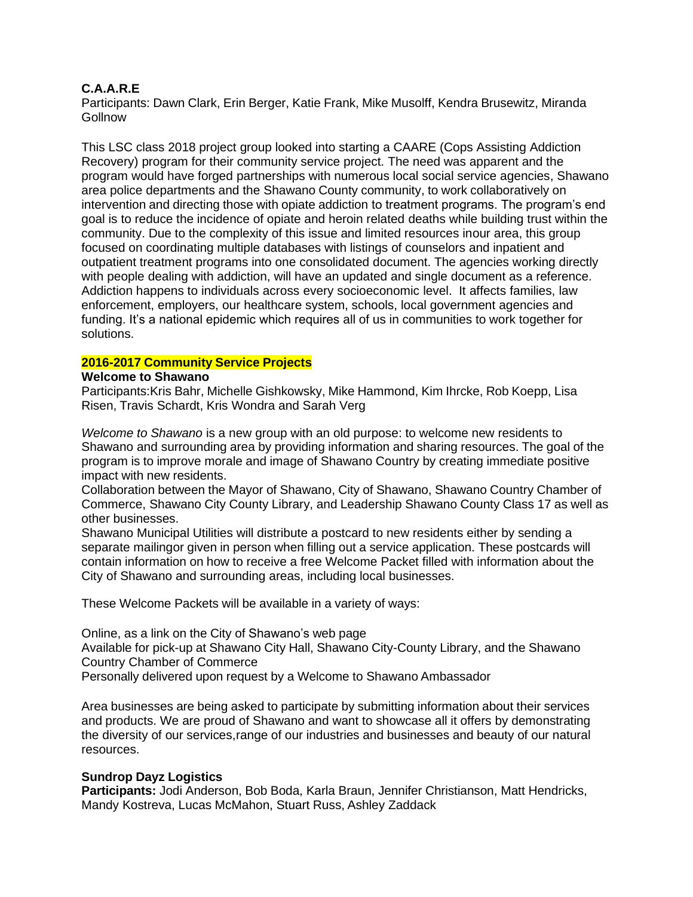# **C.A.A.R.E**

Participants: Dawn Clark, Erin Berger, Katie Frank, Mike Musolff, Kendra Brusewitz, Miranda **Gollnow** 

This LSC class 2018 project group looked into starting a CAARE (Cops Assisting Addiction Recovery) program for their community service project. The need was apparent and the program would have forged partnerships with numerous local social service agencies, Shawano area police departments and the Shawano County community, to work collaboratively on intervention and directing those with opiate addiction to treatment programs. The program's end goal is to reduce the incidence of opiate and heroin related deaths while building trust within the community. Due to the complexity of this issue and limited resources inour area, this group focused on coordinating multiple databases with listings of counselors and inpatient and outpatient treatment programs into one consolidated document. The agencies working directly with people dealing with addiction, will have an updated and single document as a reference. Addiction happens to individuals across every socioeconomic level. It affects families, law enforcement, employers, our healthcare system, schools, local government agencies and funding. It's a national epidemic which requires all of us in communities to work together for solutions.

## **2016-2017 Community Service Projects**

#### **Welcome to Shawano**

Participants:Kris Bahr, Michelle Gishkowsky, Mike Hammond, Kim Ihrcke, Rob Koepp, Lisa Risen, Travis Schardt, Kris Wondra and Sarah Verg

*Welcome to Shawano* is a new group with an old purpose: to welcome new residents to Shawano and surrounding area by providing information and sharing resources. The goal of the program is to improve morale and image of Shawano Country by creating immediate positive impact with new residents.

Collaboration between the Mayor of Shawano, City of Shawano, Shawano Country Chamber of Commerce, Shawano City County Library, and Leadership Shawano County Class 17 as well as other businesses.

Shawano Municipal Utilities will distribute a postcard to new residents either by sending a separate mailingor given in person when filling out a service application. These postcards will contain information on how to receive a free Welcome Packet filled with information about the City of Shawano and surrounding areas, including local businesses.

These Welcome Packets will be available in a variety of ways:

Online, as a link on the City of Shawano's web page Available for pick-up at Shawano City Hall, Shawano City-County Library, and the Shawano Country Chamber of Commerce Personally delivered upon request by a Welcome to Shawano Ambassador

Area businesses are being asked to participate by submitting information about their services and products. We are proud of Shawano and want to showcase all it offers by demonstrating the diversity of our services,range of our industries and businesses and beauty of our natural resources.

## **Sundrop Dayz Logistics**

**Participants:** Jodi Anderson, Bob Boda, Karla Braun, Jennifer Christianson, Matt Hendricks, Mandy Kostreva, Lucas McMahon, Stuart Russ, Ashley Zaddack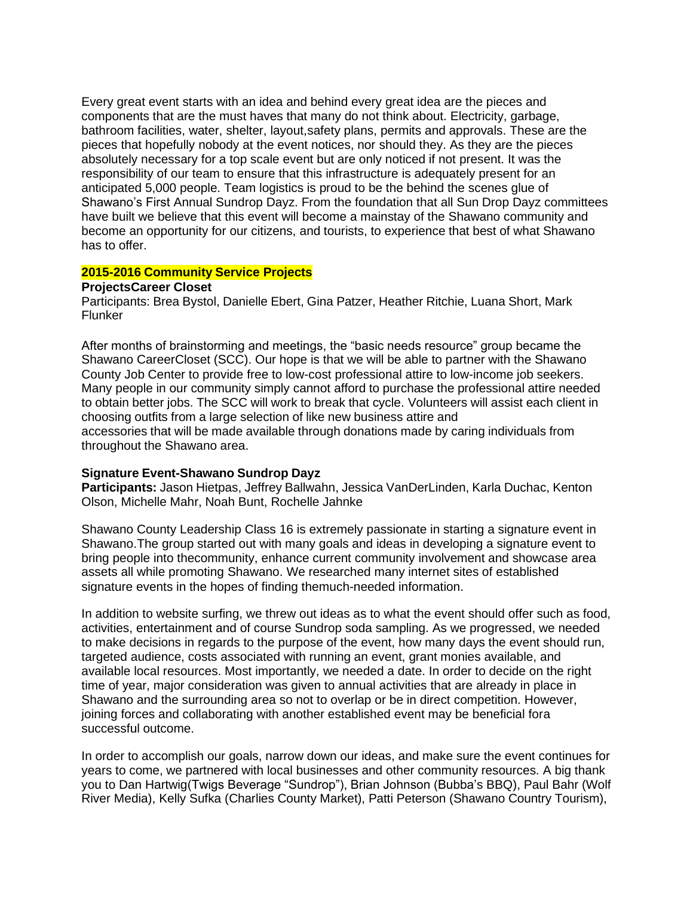Every great event starts with an idea and behind every great idea are the pieces and components that are the must haves that many do not think about. Electricity, garbage, bathroom facilities, water, shelter, layout,safety plans, permits and approvals. These are the pieces that hopefully nobody at the event notices, nor should they. As they are the pieces absolutely necessary for a top scale event but are only noticed if not present. It was the responsibility of our team to ensure that this infrastructure is adequately present for an anticipated 5,000 people. Team logistics is proud to be the behind the scenes glue of Shawano's First Annual Sundrop Dayz. From the foundation that all Sun Drop Dayz committees have built we believe that this event will become a mainstay of the Shawano community and become an opportunity for our citizens, and tourists, to experience that best of what Shawano has to offer.

#### **2015-2016 Community Service Projects**

## **ProjectsCareer Closet**

Participants: Brea Bystol, Danielle Ebert, Gina Patzer, Heather Ritchie, Luana Short, Mark Flunker

After months of brainstorming and meetings, the "basic needs resource" group became the Shawano CareerCloset (SCC). Our hope is that we will be able to partner with the Shawano County Job Center to provide free to low-cost professional attire to low-income job seekers. Many people in our community simply cannot afford to purchase the professional attire needed to obtain better jobs. The SCC will work to break that cycle. Volunteers will assist each client in choosing outfits from a large selection of like new business attire and accessories that will be made available through donations made by caring individuals from throughout the Shawano area.

## **Signature Event-Shawano Sundrop Dayz**

**Participants:** Jason Hietpas, Jeffrey Ballwahn, Jessica VanDerLinden, Karla Duchac, Kenton Olson, Michelle Mahr, Noah Bunt, Rochelle Jahnke

Shawano County Leadership Class 16 is extremely passionate in starting a signature event in Shawano.The group started out with many goals and ideas in developing a signature event to bring people into thecommunity, enhance current community involvement and showcase area assets all while promoting Shawano. We researched many internet sites of established signature events in the hopes of finding themuch-needed information.

In addition to website surfing, we threw out ideas as to what the event should offer such as food, activities, entertainment and of course Sundrop soda sampling. As we progressed, we needed to make decisions in regards to the purpose of the event, how many days the event should run, targeted audience, costs associated with running an event, grant monies available, and available local resources. Most importantly, we needed a date. In order to decide on the right time of year, major consideration was given to annual activities that are already in place in Shawano and the surrounding area so not to overlap or be in direct competition. However, joining forces and collaborating with another established event may be beneficial fora successful outcome.

In order to accomplish our goals, narrow down our ideas, and make sure the event continues for years to come, we partnered with local businesses and other community resources. A big thank you to Dan Hartwig(Twigs Beverage "Sundrop"), Brian Johnson (Bubba's BBQ), Paul Bahr (Wolf River Media), Kelly Sufka (Charlies County Market), Patti Peterson (Shawano Country Tourism),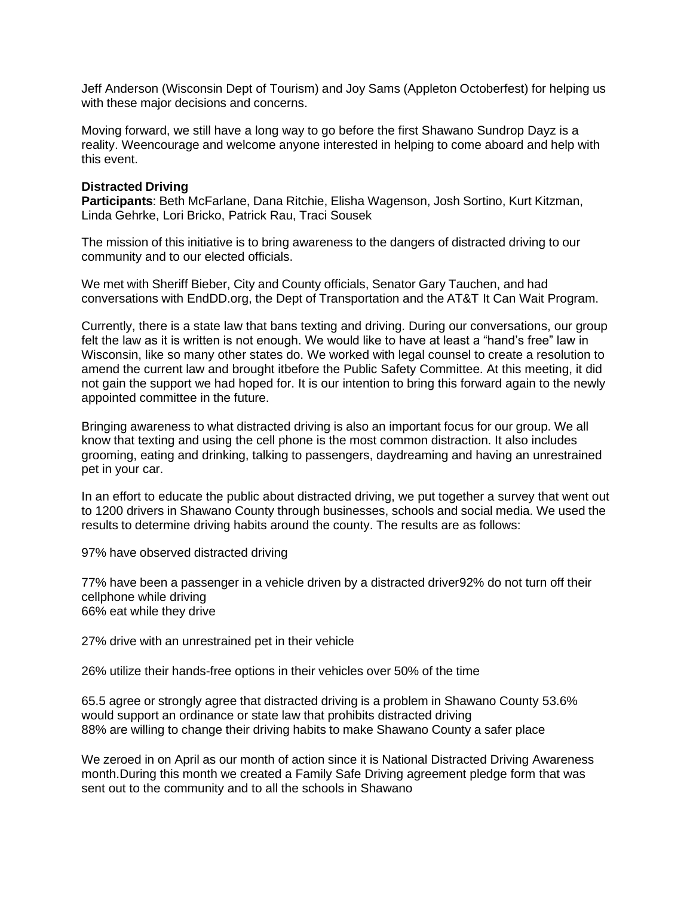Jeff Anderson (Wisconsin Dept of Tourism) and Joy Sams (Appleton Octoberfest) for helping us with these major decisions and concerns.

Moving forward, we still have a long way to go before the first Shawano Sundrop Dayz is a reality. Weencourage and welcome anyone interested in helping to come aboard and help with this event.

## **Distracted Driving**

**Participants**: Beth McFarlane, Dana Ritchie, Elisha Wagenson, Josh Sortino, Kurt Kitzman, Linda Gehrke, Lori Bricko, Patrick Rau, Traci Sousek

The mission of this initiative is to bring awareness to the dangers of distracted driving to our community and to our elected officials.

We met with Sheriff Bieber, City and County officials, Senator Gary Tauchen, and had conversations with EndDD.org, the Dept of Transportation and the AT&T It Can Wait Program.

Currently, there is a state law that bans texting and driving. During our conversations, our group felt the law as it is written is not enough. We would like to have at least a "hand's free" law in Wisconsin, like so many other states do. We worked with legal counsel to create a resolution to amend the current law and brought itbefore the Public Safety Committee. At this meeting, it did not gain the support we had hoped for. It is our intention to bring this forward again to the newly appointed committee in the future.

Bringing awareness to what distracted driving is also an important focus for our group. We all know that texting and using the cell phone is the most common distraction. It also includes grooming, eating and drinking, talking to passengers, daydreaming and having an unrestrained pet in your car.

In an effort to educate the public about distracted driving, we put together a survey that went out to 1200 drivers in Shawano County through businesses, schools and social media. We used the results to determine driving habits around the county. The results are as follows:

97% have observed distracted driving

77% have been a passenger in a vehicle driven by a distracted driver92% do not turn off their cellphone while driving 66% eat while they drive

27% drive with an unrestrained pet in their vehicle

26% utilize their hands-free options in their vehicles over 50% of the time

65.5 agree or strongly agree that distracted driving is a problem in Shawano County 53.6% would support an ordinance or state law that prohibits distracted driving 88% are willing to change their driving habits to make Shawano County a safer place

We zeroed in on April as our month of action since it is National Distracted Driving Awareness month.During this month we created a Family Safe Driving agreement pledge form that was sent out to the community and to all the schools in Shawano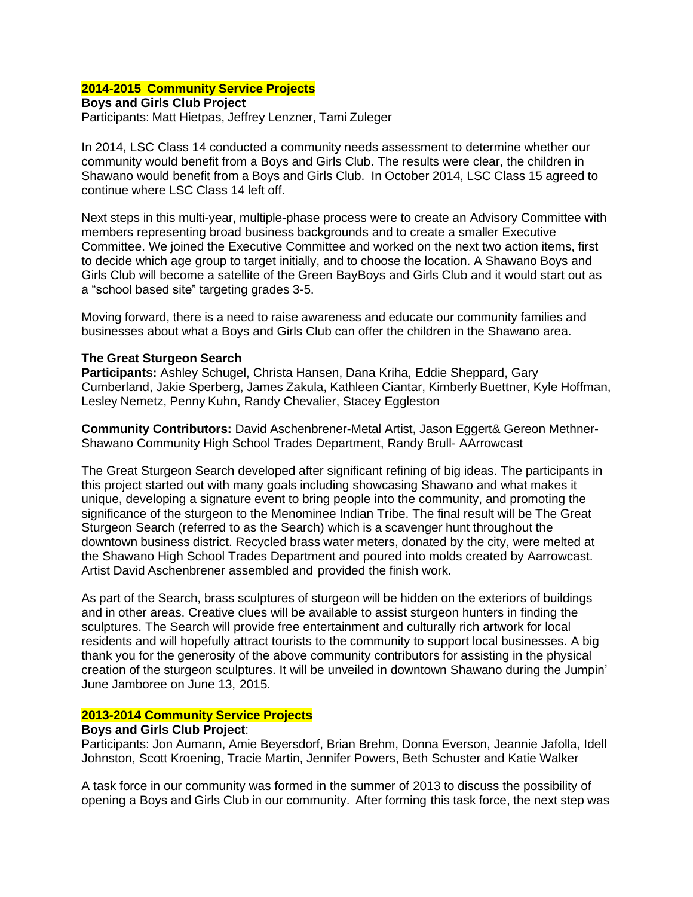# **2014-2015 Community Service Projects**

**Boys and Girls Club Project** Participants: Matt Hietpas, Jeffrey Lenzner, Tami Zuleger

In 2014, LSC Class 14 conducted a community needs assessment to determine whether our community would benefit from a Boys and Girls Club. The results were clear, the children in Shawano would benefit from a Boys and Girls Club. In October 2014, LSC Class 15 agreed to continue where LSC Class 14 left off.

Next steps in this multi-year, multiple-phase process were to create an Advisory Committee with members representing broad business backgrounds and to create a smaller Executive Committee. We joined the Executive Committee and worked on the next two action items, first to decide which age group to target initially, and to choose the location. A Shawano Boys and Girls Club will become a satellite of the Green BayBoys and Girls Club and it would start out as a "school based site" targeting grades 3-5.

Moving forward, there is a need to raise awareness and educate our community families and businesses about what a Boys and Girls Club can offer the children in the Shawano area.

## **The Great Sturgeon Search**

**Participants:** Ashley Schugel, Christa Hansen, Dana Kriha, Eddie Sheppard, Gary Cumberland, Jakie Sperberg, James Zakula, Kathleen Ciantar, Kimberly Buettner, Kyle Hoffman, Lesley Nemetz, Penny Kuhn, Randy Chevalier, Stacey Eggleston

**Community Contributors:** David Aschenbrener-Metal Artist, Jason Eggert& Gereon Methner-Shawano Community High School Trades Department, Randy Brull- AArrowcast

The Great Sturgeon Search developed after significant refining of big ideas. The participants in this project started out with many goals including showcasing Shawano and what makes it unique, developing a signature event to bring people into the community, and promoting the significance of the sturgeon to the Menominee Indian Tribe. The final result will be The Great Sturgeon Search (referred to as the Search) which is a scavenger hunt throughout the downtown business district. Recycled brass water meters, donated by the city, were melted at the Shawano High School Trades Department and poured into molds created by Aarrowcast. Artist David Aschenbrener assembled and provided the finish work.

As part of the Search, brass sculptures of sturgeon will be hidden on the exteriors of buildings and in other areas. Creative clues will be available to assist sturgeon hunters in finding the sculptures. The Search will provide free entertainment and culturally rich artwork for local residents and will hopefully attract tourists to the community to support local businesses. A big thank you for the generosity of the above community contributors for assisting in the physical creation of the sturgeon sculptures. It will be unveiled in downtown Shawano during the Jumpin' June Jamboree on June 13, 2015.

## **2013-2014 Community Service Projects**

## **Boys and Girls Club Project**:

Participants: Jon Aumann, Amie Beyersdorf, Brian Brehm, Donna Everson, Jeannie Jafolla, Idell Johnston, Scott Kroening, Tracie Martin, Jennifer Powers, Beth Schuster and Katie Walker

A task force in our community was formed in the summer of 2013 to discuss the possibility of opening a Boys and Girls Club in our community. After forming this task force, the next step was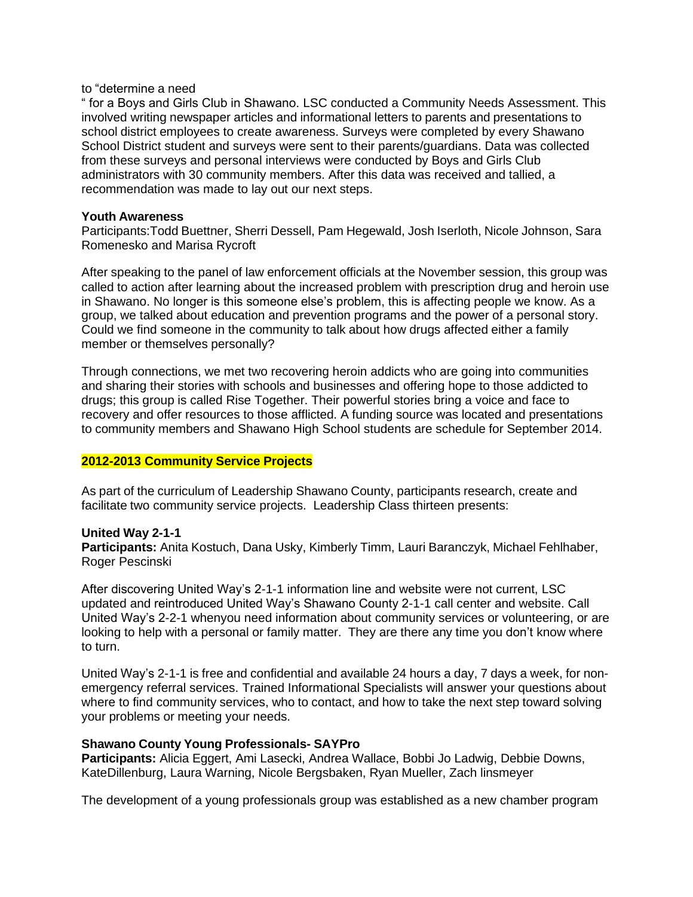#### to "determine a need

" for a Boys and Girls Club in Shawano. LSC conducted a Community Needs Assessment. This involved writing newspaper articles and informational letters to parents and presentations to school district employees to create awareness. Surveys were completed by every Shawano School District student and surveys were sent to their parents/guardians. Data was collected from these surveys and personal interviews were conducted by Boys and Girls Club administrators with 30 community members. After this data was received and tallied, a recommendation was made to lay out our next steps.

#### **Youth Awareness**

Participants:Todd Buettner, Sherri Dessell, Pam Hegewald, Josh Iserloth, Nicole Johnson, Sara Romenesko and Marisa Rycroft

After speaking to the panel of law enforcement officials at the November session, this group was called to action after learning about the increased problem with prescription drug and heroin use in Shawano. No longer is this someone else's problem, this is affecting people we know. As a group, we talked about education and prevention programs and the power of a personal story. Could we find someone in the community to talk about how drugs affected either a family member or themselves personally?

Through connections, we met two recovering heroin addicts who are going into communities and sharing their stories with schools and businesses and offering hope to those addicted to drugs; this group is called Rise Together. Their powerful stories bring a voice and face to recovery and offer resources to those afflicted. A funding source was located and presentations to community members and Shawano High School students are schedule for September 2014.

## **2012-2013 Community Service Projects**

As part of the curriculum of Leadership Shawano County, participants research, create and facilitate two community service projects. Leadership Class thirteen presents:

## **United Way 2-1-1**

**Participants:** Anita Kostuch, Dana Usky, Kimberly Timm, Lauri Baranczyk, Michael Fehlhaber, Roger Pescinski

After discovering United Way's 2-1-1 information line and website were not current, LSC updated and reintroduced United Way's Shawano County 2-1-1 call center and website. Call United Way's 2-2-1 whenyou need information about community services or volunteering, or are looking to help with a personal or family matter. They are there any time you don't know where to turn.

United Way's 2-1-1 is free and confidential and available 24 hours a day, 7 days a week, for nonemergency referral services. Trained Informational Specialists will answer your questions about where to find community services, who to contact, and how to take the next step toward solving your problems or meeting your needs.

## **Shawano County Young Professionals- SAYPro**

**Participants:** Alicia Eggert, Ami Lasecki, Andrea Wallace, Bobbi Jo Ladwig, Debbie Downs, KateDillenburg, Laura Warning, Nicole Bergsbaken, Ryan Mueller, Zach linsmeyer

The development of a young professionals group was established as a new chamber program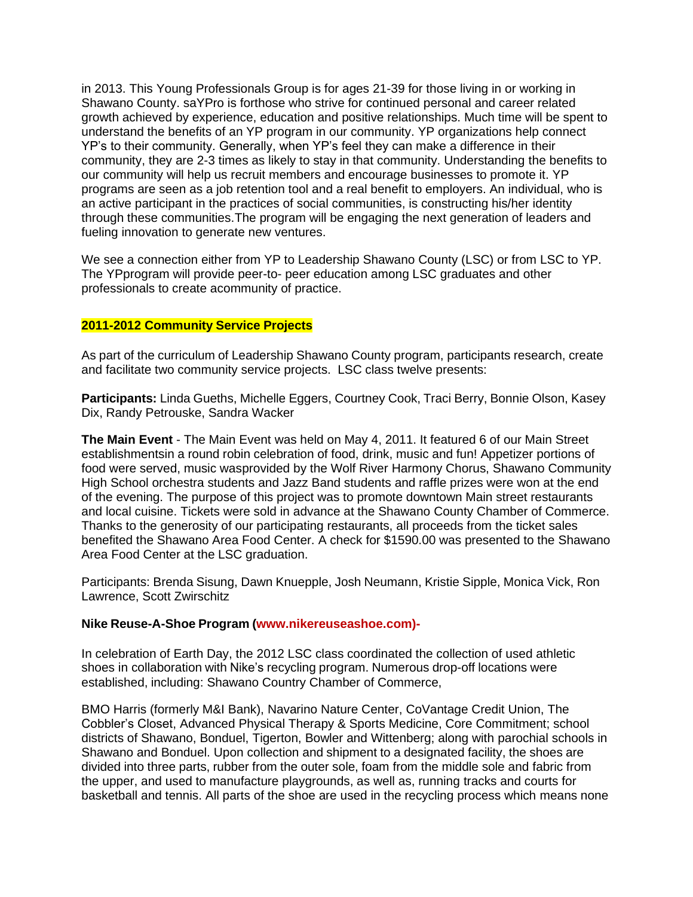in 2013. This Young Professionals Group is for ages 21-39 for those living in or working in Shawano County. saYPro is forthose who strive for continued personal and career related growth achieved by experience, education and positive relationships. Much time will be spent to understand the benefits of an YP program in our community. YP organizations help connect YP's to their community. Generally, when YP's feel they can make a difference in their community, they are 2-3 times as likely to stay in that community. Understanding the benefits to our community will help us recruit members and encourage businesses to promote it. YP programs are seen as a job retention tool and a real benefit to employers. An individual, who is an active participant in the practices of social communities, is constructing his/her identity through these communities.The program will be engaging the next generation of leaders and fueling innovation to generate new ventures.

We see a connection either from YP to Leadership Shawano County (LSC) or from LSC to YP. The YPprogram will provide peer-to- peer education among LSC graduates and other professionals to create acommunity of practice.

# **2011-2012 Community Service Projects**

As part of the curriculum of Leadership Shawano County program, participants research, create and facilitate two community service projects. LSC class twelve presents:

**Participants:** Linda Gueths, Michelle Eggers, Courtney Cook, Traci Berry, Bonnie Olson, Kasey Dix, Randy Petrouske, Sandra Wacker

**The Main Event** - The Main Event was held on May 4, 2011. It featured 6 of our Main Street establishmentsin a round robin celebration of food, drink, music and fun! Appetizer portions of food were served, music wasprovided by the Wolf River Harmony Chorus, Shawano Community High School orchestra students and Jazz Band students and raffle prizes were won at the end of the evening. The purpose of this project was to promote downtown Main street restaurants and local cuisine. Tickets were sold in advance at the Shawano County Chamber of Commerce. Thanks to the generosity of our participating restaurants, all proceeds from the ticket sales benefited the Shawano Area Food Center. A check for \$1590.00 was presented to the Shawano Area Food Center at the LSC graduation.

Participants: Brenda Sisung, Dawn Knuepple, Josh Neumann, Kristie Sipple, Monica Vick, Ron Lawrence, Scott Zwirschitz

## **Nike Reuse-A-Shoe Program (www.nikereuseashoe.com)-**

In celebration of Earth Day, the 2012 LSC class coordinated the collection of used athletic shoes in collaboration with Nike's recycling program. Numerous drop-off locations were established, including: Shawano Country Chamber of Commerce,

BMO Harris (formerly M&I Bank), Navarino Nature Center, CoVantage Credit Union, The Cobbler's Closet, Advanced Physical Therapy & Sports Medicine, Core Commitment; school districts of Shawano, Bonduel, Tigerton, Bowler and Wittenberg; along with parochial schools in Shawano and Bonduel. Upon collection and shipment to a designated facility, the shoes are divided into three parts, rubber from the outer sole, foam from the middle sole and fabric from the upper, and used to manufacture playgrounds, as well as, running tracks and courts for basketball and tennis. All parts of the shoe are used in the recycling process which means none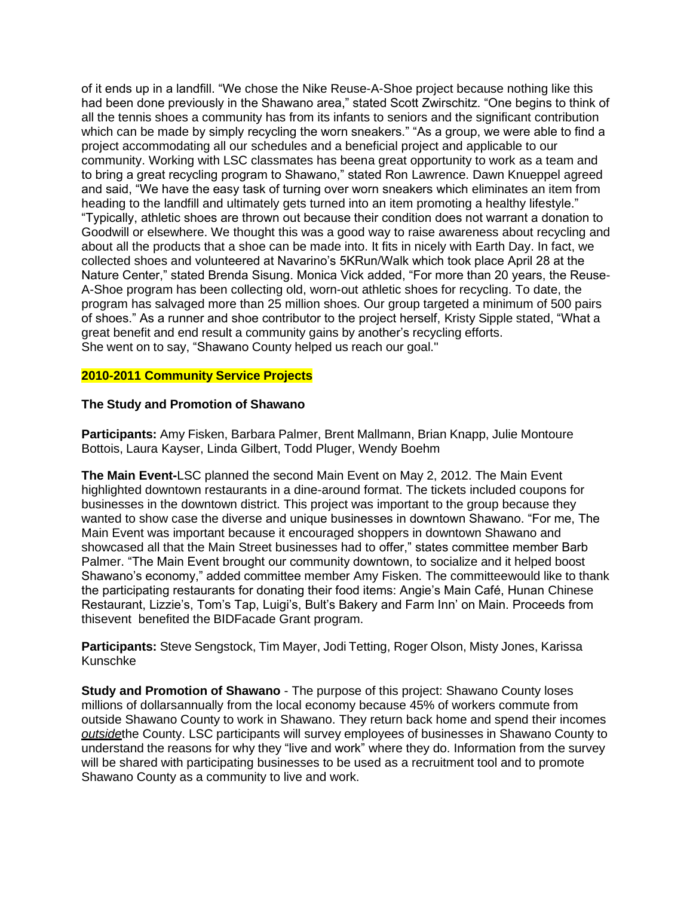of it ends up in a landfill. "We chose the Nike Reuse-A-Shoe project because nothing like this had been done previously in the Shawano area," stated Scott Zwirschitz. "One begins to think of all the tennis shoes a community has from its infants to seniors and the significant contribution which can be made by simply recycling the worn sneakers." "As a group, we were able to find a project accommodating all our schedules and a beneficial project and applicable to our community. Working with LSC classmates has beena great opportunity to work as a team and to bring a great recycling program to Shawano," stated Ron Lawrence. Dawn Knueppel agreed and said, "We have the easy task of turning over worn sneakers which eliminates an item from heading to the landfill and ultimately gets turned into an item promoting a healthy lifestyle." "Typically, athletic shoes are thrown out because their condition does not warrant a donation to Goodwill or elsewhere. We thought this was a good way to raise awareness about recycling and about all the products that a shoe can be made into. It fits in nicely with Earth Day. In fact, we collected shoes and volunteered at Navarino's 5KRun/Walk which took place April 28 at the Nature Center," stated Brenda Sisung. Monica Vick added, "For more than 20 years, the Reuse-A-Shoe program has been collecting old, worn-out athletic shoes for recycling. To date, the program has salvaged more than 25 million shoes. Our group targeted a minimum of 500 pairs of shoes." As a runner and shoe contributor to the project herself, Kristy Sipple stated, "What a great benefit and end result a community gains by another's recycling efforts. She went on to say, "Shawano County helped us reach our goal."

## **2010-2011 Community Service Projects**

## **The Study and Promotion of Shawano**

**Participants:** Amy Fisken, Barbara Palmer, Brent Mallmann, Brian Knapp, Julie Montoure Bottois, Laura Kayser, Linda Gilbert, Todd Pluger, Wendy Boehm

**The Main Event-**LSC planned the second Main Event on May 2, 2012. The Main Event highlighted downtown restaurants in a dine-around format. The tickets included coupons for businesses in the downtown district. This project was important to the group because they wanted to show case the diverse and unique businesses in downtown Shawano. "For me, The Main Event was important because it encouraged shoppers in downtown Shawano and showcased all that the Main Street businesses had to offer," states committee member Barb Palmer. "The Main Event brought our community downtown, to socialize and it helped boost Shawano's economy," added committee member Amy Fisken. The committeewould like to thank the participating restaurants for donating their food items: Angie's Main Café, Hunan Chinese Restaurant, Lizzie's, Tom's Tap, Luigi's, Bult's Bakery and Farm Inn' on Main. Proceeds from thisevent benefited the BIDFacade Grant program.

**Participants:** Steve Sengstock, Tim Mayer, Jodi Tetting, Roger Olson, Misty Jones, Karissa Kunschke

**Study and Promotion of Shawano** - The purpose of this project: Shawano County loses millions of dollarsannually from the local economy because 45% of workers commute from outside Shawano County to work in Shawano. They return back home and spend their incomes *outside*the County. LSC participants will survey employees of businesses in Shawano County to understand the reasons for why they "live and work" where they do. Information from the survey will be shared with participating businesses to be used as a recruitment tool and to promote Shawano County as a community to live and work.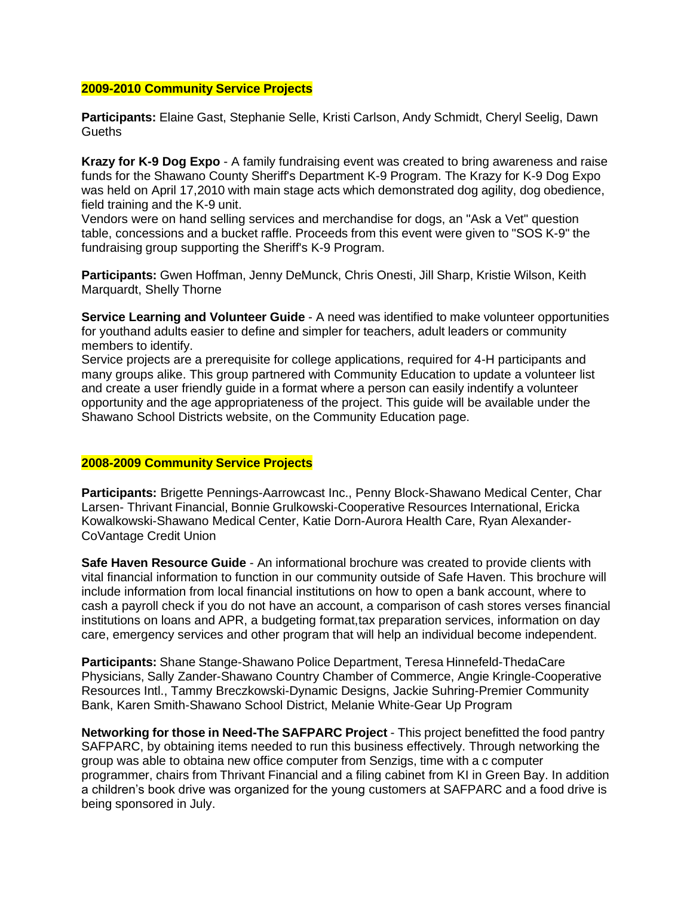#### **2009-2010 Community Service Projects**

**Participants:** Elaine Gast, Stephanie Selle, Kristi Carlson, Andy Schmidt, Cheryl Seelig, Dawn **Gueths** 

**Krazy for K-9 Dog Expo** - A family fundraising event was created to bring awareness and raise funds for the Shawano County Sheriff's Department K-9 Program. The Krazy for K-9 Dog Expo was held on April 17,2010 with main stage acts which demonstrated dog agility, dog obedience, field training and the K-9 unit.

Vendors were on hand selling services and merchandise for dogs, an "Ask a Vet" question table, concessions and a bucket raffle. Proceeds from this event were given to "SOS K-9" the fundraising group supporting the Sheriff's K-9 Program.

**Participants:** Gwen Hoffman, Jenny DeMunck, Chris Onesti, Jill Sharp, Kristie Wilson, Keith Marquardt, Shelly Thorne

**Service Learning and Volunteer Guide** - A need was identified to make volunteer opportunities for youthand adults easier to define and simpler for teachers, adult leaders or community members to identify.

Service projects are a prerequisite for college applications, required for 4-H participants and many groups alike. This group partnered with Community Education to update a volunteer list and create a user friendly guide in a format where a person can easily indentify a volunteer opportunity and the age appropriateness of the project. This guide will be available under the Shawano School Districts website, on the Community Education page.

## **2008-2009 Community Service Projects**

**Participants:** Brigette Pennings-Aarrowcast Inc., Penny Block-Shawano Medical Center, Char Larsen- Thrivant Financial, Bonnie Grulkowski-Cooperative Resources International, Ericka Kowalkowski-Shawano Medical Center, Katie Dorn-Aurora Health Care, Ryan Alexander-CoVantage Credit Union

**Safe Haven Resource Guide** - An informational brochure was created to provide clients with vital financial information to function in our community outside of Safe Haven. This brochure will include information from local financial institutions on how to open a bank account, where to cash a payroll check if you do not have an account, a comparison of cash stores verses financial institutions on loans and APR, a budgeting format,tax preparation services, information on day care, emergency services and other program that will help an individual become independent.

**Participants:** Shane Stange-Shawano Police Department, Teresa Hinnefeld-ThedaCare Physicians, Sally Zander-Shawano Country Chamber of Commerce, Angie Kringle-Cooperative Resources Intl., Tammy Breczkowski-Dynamic Designs, Jackie Suhring-Premier Community Bank, Karen Smith-Shawano School District, Melanie White-Gear Up Program

**Networking for those in Need-The SAFPARC Project** - This project benefitted the food pantry SAFPARC, by obtaining items needed to run this business effectively. Through networking the group was able to obtaina new office computer from Senzigs, time with a c computer programmer, chairs from Thrivant Financial and a filing cabinet from KI in Green Bay. In addition a children's book drive was organized for the young customers at SAFPARC and a food drive is being sponsored in July.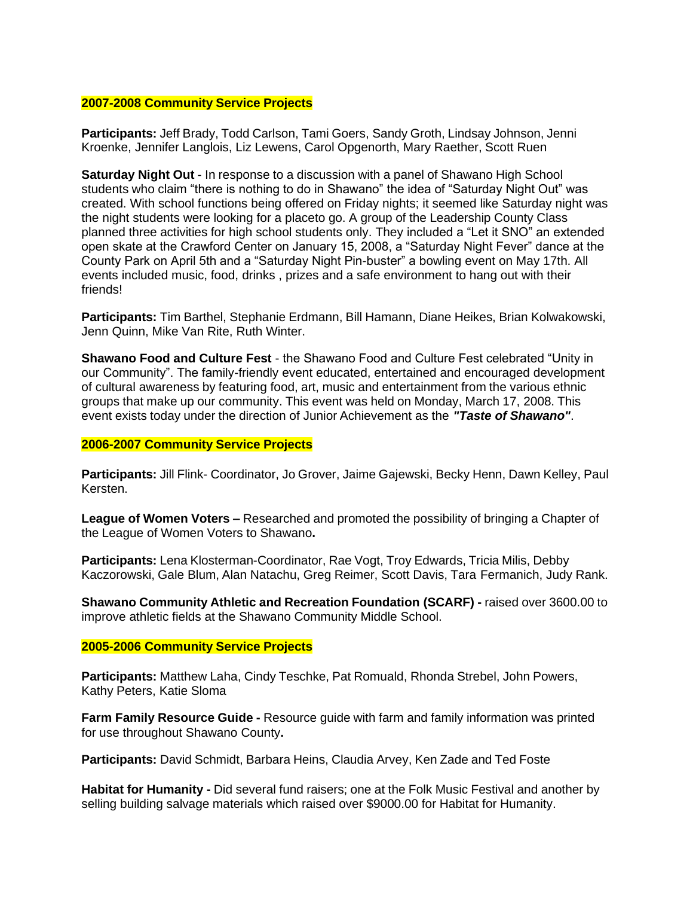## **2007-2008 Community Service Projects**

**Participants:** Jeff Brady, Todd Carlson, Tami Goers, Sandy Groth, Lindsay Johnson, Jenni Kroenke, Jennifer Langlois, Liz Lewens, Carol Opgenorth, Mary Raether, Scott Ruen

**Saturday Night Out** - In response to a discussion with a panel of Shawano High School students who claim "there is nothing to do in Shawano" the idea of "Saturday Night Out" was created. With school functions being offered on Friday nights; it seemed like Saturday night was the night students were looking for a placeto go. A group of the Leadership County Class planned three activities for high school students only. They included a "Let it SNO" an extended open skate at the Crawford Center on January 15, 2008, a "Saturday Night Fever" dance at the County Park on April 5th and a "Saturday Night Pin-buster" a bowling event on May 17th. All events included music, food, drinks , prizes and a safe environment to hang out with their friends!

**Participants:** Tim Barthel, Stephanie Erdmann, Bill Hamann, Diane Heikes, Brian Kolwakowski, Jenn Quinn, Mike Van Rite, Ruth Winter.

**Shawano Food and Culture Fest** - the Shawano Food and Culture Fest celebrated "Unity in our Community". The family-friendly event educated, entertained and encouraged development of cultural awareness by featuring food, art, music and entertainment from the various ethnic groups that make up our community. This event was held on Monday, March 17, 2008. This event exists today under the direction of Junior Achievement as the *"Taste of Shawano"*.

#### **2006-2007 Community Service Projects**

**Participants:** Jill Flink- Coordinator, Jo Grover, Jaime Gajewski, Becky Henn, Dawn Kelley, Paul Kersten.

**League of Women Voters –** Researched and promoted the possibility of bringing a Chapter of the League of Women Voters to Shawano**.**

**Participants:** Lena Klosterman-Coordinator, Rae Vogt, Troy Edwards, Tricia Milis, Debby Kaczorowski, Gale Blum, Alan Natachu, Greg Reimer, Scott Davis, Tara Fermanich, Judy Rank.

**Shawano Community Athletic and Recreation Foundation (SCARF) -** raised over 3600.00 to improve athletic fields at the Shawano Community Middle School.

#### **2005-2006 Community Service Projects**

**Participants:** Matthew Laha, Cindy Teschke, Pat Romuald, Rhonda Strebel, John Powers, Kathy Peters, Katie Sloma

**Farm Family Resource Guide -** Resource guide with farm and family information was printed for use throughout Shawano County**.**

**Participants:** David Schmidt, Barbara Heins, Claudia Arvey, Ken Zade and Ted Foste

**Habitat for Humanity -** Did several fund raisers; one at the Folk Music Festival and another by selling building salvage materials which raised over \$9000.00 for Habitat for Humanity.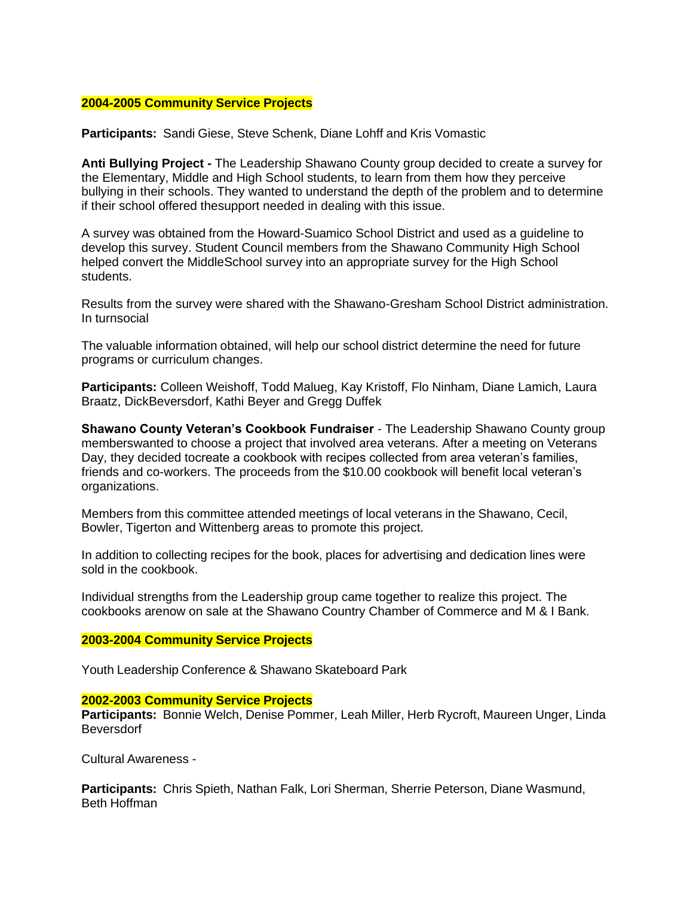## **2004-2005 Community Service Projects**

**Participants:** Sandi Giese, Steve Schenk, Diane Lohff and Kris Vomastic

**Anti Bullying Project -** The Leadership Shawano County group decided to create a survey for the Elementary, Middle and High School students, to learn from them how they perceive bullying in their schools. They wanted to understand the depth of the problem and to determine if their school offered thesupport needed in dealing with this issue.

A survey was obtained from the Howard-Suamico School District and used as a guideline to develop this survey. Student Council members from the Shawano Community High School helped convert the MiddleSchool survey into an appropriate survey for the High School students.

Results from the survey were shared with the Shawano-Gresham School District administration. In turnsocial

The valuable information obtained, will help our school district determine the need for future programs or curriculum changes.

**Participants:** Colleen Weishoff, Todd Malueg, Kay Kristoff, Flo Ninham, Diane Lamich, Laura Braatz, DickBeversdorf, Kathi Beyer and Gregg Duffek

**Shawano County Veteran's Cookbook Fundraiser** - The Leadership Shawano County group memberswanted to choose a project that involved area veterans. After a meeting on Veterans Day, they decided tocreate a cookbook with recipes collected from area veteran's families, friends and co-workers. The proceeds from the \$10.00 cookbook will benefit local veteran's organizations.

Members from this committee attended meetings of local veterans in the Shawano, Cecil, Bowler, Tigerton and Wittenberg areas to promote this project.

In addition to collecting recipes for the book, places for advertising and dedication lines were sold in the cookbook.

Individual strengths from the Leadership group came together to realize this project. The cookbooks arenow on sale at the Shawano Country Chamber of Commerce and M & I Bank.

## **2003-2004 Community Service Projects**

Youth Leadership Conference & Shawano Skateboard Park

#### **2002-2003 Community Service Projects**

**Participants:** Bonnie Welch, Denise Pommer, Leah Miller, Herb Rycroft, Maureen Unger, Linda Beversdorf

Cultural Awareness -

**Participants:** Chris Spieth, Nathan Falk, Lori Sherman, Sherrie Peterson, Diane Wasmund, Beth Hoffman